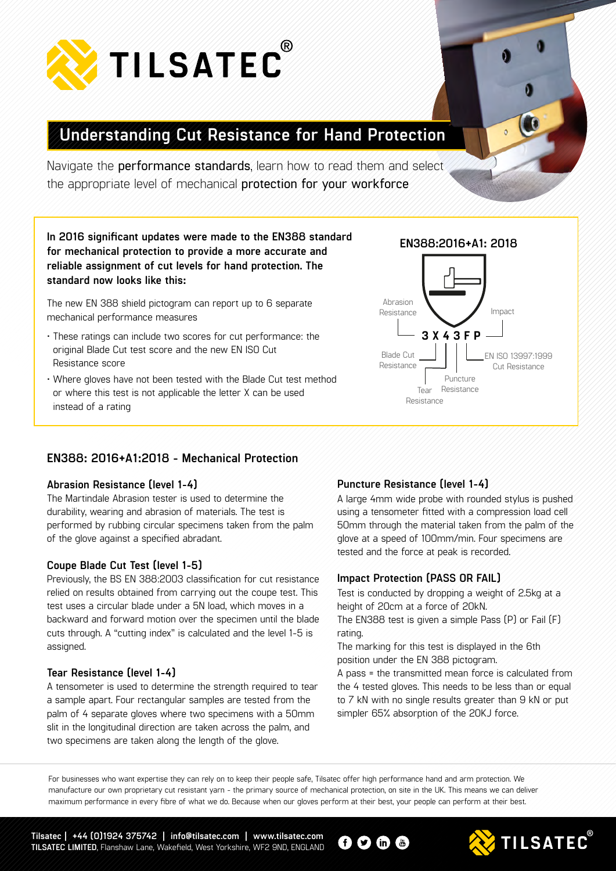

# **Understanding Cut Resistance for Hand Protection**

Navigate the **performance standards**, learn how to read them and select the appropriate level of mechanical **protection for your workforce**

**In 2016 significant updates were made to the EN388 standard for mechanical protection to provide a more accurate and reliable assignment of cut levels for hand protection. The standard now looks like this:**

The new EN 388 shield pictogram can report up to 6 separate mechanical performance measures

- These ratings can include two scores for cut performance: the original Blade Cut test score and the new EN ISO Cut Resistance score
- Where gloves have not been tested with the Blade Cut test method or where this test is not applicable the letter X can be used instead of a rating

### **EN388: 2016+A1:2018 - Mechanical Protection**

#### **Abrasion Resistance (level 1-4)**

The Martindale Abrasion tester is used to determine the durability, wearing and abrasion of materials. The test is performed by rubbing circular specimens taken from the palm of the glove against a specified abradant.

#### **Coupe Blade Cut Test (level 1-5)**

Previously, the BS EN 388:2003 classification for cut resistance relied on results obtained from carrying out the coupe test. This test uses a circular blade under a 5N load, which moves in a backward and forward motion over the specimen until the blade cuts through. A "cutting index" is calculated and the level 1-5 is assigned.

#### **Tear Resistance (level 1-4)**

A tensometer is used to determine the strength required to tear a sample apart. Four rectangular samples are tested from the palm of 4 separate gloves where two specimens with a 50mm slit in the longitudinal direction are taken across the palm, and two specimens are taken along the length of the glove.

#### **Puncture Resistance (level 1-4)**

A large 4mm wide probe with rounded stylus is pushed using a tensometer fitted with a compression load cell 50mm through the material taken from the palm of the glove at a speed of 100mm/min. Four specimens are tested and the force at peak is recorded.

#### **Impact Protection (PASS OR FAIL)**

Test is conducted by dropping a weight of 2.5kg at a height of 20cm at a force of 20kN.

The EN388 test is given a simple Pass (P) or Fail (F) rating.

The marking for this test is displayed in the 6th position under the EN 388 pictogram.

A pass = the transmitted mean force is calculated from the 4 tested gloves. This needs to be less than or equal to 7 kN with no single results greater than 9 kN or put simpler 65% absorption of the 20KJ force.

For businesses who want expertise they can rely on to keep their people safe, Tilsatec offer high performance hand and arm protection. We manufacture our own proprietary cut resistant yarn - the primary source of mechanical protection, on site in the UK. This means we can deliver maximum performance in every fibre of what we do. Because when our gloves perform at their best, your people can perform at their best.

 $\mathbf \Theta$   $\mathbf O$  in  $\mathbf \Theta$ 

**Tilsatec | +44 (0)1924 375742 | info@tilsatec.com | www.tilsatec.com TILSATEC LIMITED**, Flanshaw Lane, Wakefield, West Yorkshire, WF2 9ND, ENGLAND